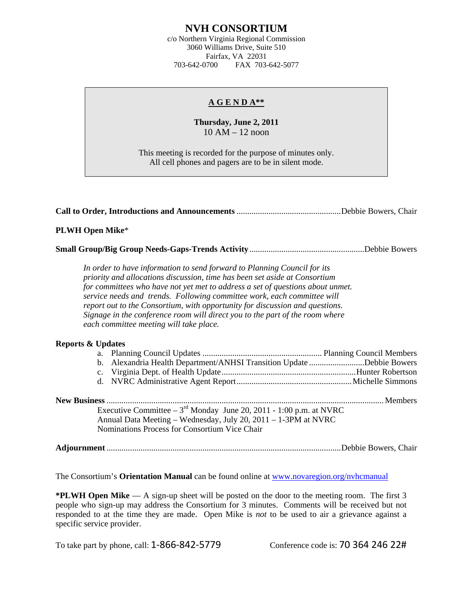# **NVH CONSORTIUM**

c/o Northern Virginia Regional Commission 3060 Williams Drive, Suite 510 Fairfax, VA 22031 703-642-0700 FAX 703-642-5077

### **A G E N D A\*\***

## **Thursday, June 2, 2011**  10 AM – 12 noon

This meeting is recorded for the purpose of minutes only. All cell phones and pagers are to be in silent mode.

|--|--|

#### **PLWH Open Mike**\*

**Small Group/Big Group Needs-Gaps-Trends Activity**......................................................Debbie Bowers

*In order to have information to send forward to Planning Council for its priority and allocations discussion, time has been set aside at Consortium for committees who have not yet met to address a set of questions about unmet. service needs and trends. Following committee work, each committee will report out to the Consortium, with opportunity for discussion and questions. Signage in the conference room will direct you to the part of the room where each committee meeting will take place.* 

#### **Reports & Updates**

| b. Alexandria Health Department/ANHSI Transition Update Debbie Bowers                                                                                                                     |  |
|-------------------------------------------------------------------------------------------------------------------------------------------------------------------------------------------|--|
|                                                                                                                                                                                           |  |
|                                                                                                                                                                                           |  |
| Executive Committee $-3^{rd}$ Monday June 20, 2011 - 1:00 p.m. at NVRC<br>Annual Data Meeting – Wednesday, July 20, 2011 – 1-3PM at NVRC<br>Nominations Process for Consortium Vice Chair |  |

**Adjournment** ..............................................................................................................Debbie Bowers, Chair

The Consortium's **Orientation Manual** can be found online at [www.novaregion.org/nvhcmanual](http://www.novaregion.org/nvhcmanual)

**\*PLWH Open Mike** — A sign-up sheet will be posted on the door to the meeting room. The first 3 people who sign-up may address the Consortium for 3 minutes. Comments will be received but not responded to at the time they are made. Open Mike is *not* to be used to air a grievance against a specific service provider.

To take part by phone, call: 1-866-842-5779 Conference code is: 70 364 246 22#